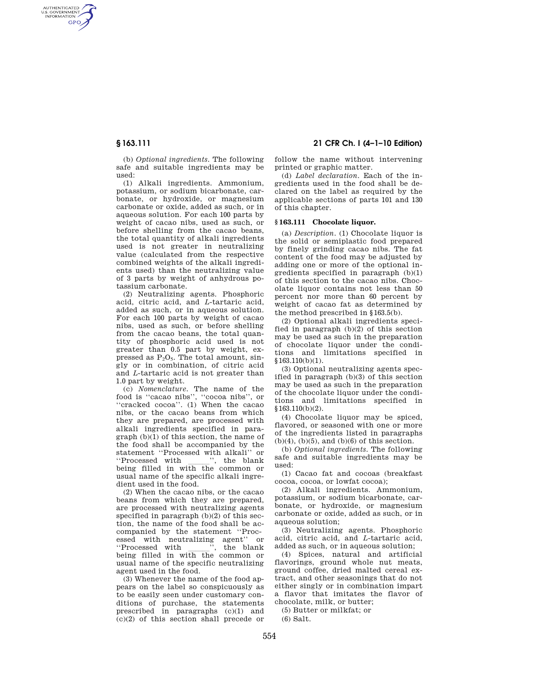AUTHENTICATED<br>U.S. GOVERNMENT<br>INFORMATION **GPO** 

> (b) *Optional ingredients.* The following safe and suitable ingredients may be used:

> (1) Alkali ingredients. Ammonium, potassium, or sodium bicarbonate, carbonate, or hydroxide, or magnesium carbonate or oxide, added as such, or in aqueous solution. For each 100 parts by weight of cacao nibs, used as such, or before shelling from the cacao beans, the total quantity of alkali ingredients used is not greater in neutralizing value (calculated from the respective combined weights of the alkali ingredients used) than the neutralizing value of 3 parts by weight of anhydrous potassium carbonate.

> (2) Neutralizing agents. Phosphoric acid, citric acid, and *L*-tartaric acid, added as such, or in aqueous solution. For each 100 parts by weight of cacao nibs, used as such, or before shelling from the cacao beans, the total quantity of phosphoric acid used is not greater than 0.5 part by weight, expressed as  $P_2O_5$ . The total amount, singly or in combination, of citric acid and *L*-tartaric acid is not greater than 1.0 part by weight.

> (c) *Nomenclature.* The name of the food is ''cacao nibs'', ''cocoa nibs'', or ''cracked cocoa''. (1) When the cacao nibs, or the cacao beans from which they are prepared, are processed with alkali ingredients specified in paragraph (b)(1) of this section, the name of the food shall be accompanied by the statement "Processed with alkali" or<br>"Processed with ", the blank "Processed with \_\_\_\_\_", the blank<br>being filled in with the common or usual name of the specific alkali ingredient used in the food.

> (2) When the cacao nibs, or the cacao beans from which they are prepared, are processed with neutralizing agents specified in paragraph (b)(2) of this section, the name of the food shall be accompanied by the statement ''Processed with neutralizing agent'' or ''Processed with lll'', the blank being filled in with the common or usual name of the specific neutralizing agent used in the food.

> (3) Whenever the name of the food appears on the label so conspicuously as to be easily seen under customary conditions of purchase, the statements prescribed in paragraphs (c)(1) and  $(c)(2)$  of this section shall precede or

**§ 163.111 21 CFR Ch. I (4–1–10 Edition)** 

follow the name without intervening printed or graphic matter.

(d) *Label declaration.* Each of the ingredients used in the food shall be declared on the label as required by the applicable sections of parts 101 and 130 of this chapter.

## **§ 163.111 Chocolate liquor.**

(a) *Description.* (1) Chocolate liquor is the solid or semiplastic food prepared by finely grinding cacao nibs. The fat content of the food may be adjusted by adding one or more of the optional ingredients specified in paragraph (b)(1) of this section to the cacao nibs. Chocolate liquor contains not less than 50 percent nor more than 60 percent by weight of cacao fat as determined by the method prescribed in §163.5(b).

(2) Optional alkali ingredients specified in paragraph (b)(2) of this section may be used as such in the preparation of chocolate liquor under the conditions and limitations specified in  $§163.110(b)(1).$ 

(3) Optional neutralizing agents specified in paragraph (b)(3) of this section may be used as such in the preparation of the chocolate liquor under the conditions and limitations specified in §163.110(b)(2).

(4) Chocolate liquor may be spiced, flavored, or seasoned with one or more of the ingredients listed in paragraphs  $(b)(4)$ ,  $(b)(5)$ , and  $(b)(6)$  of this section.

(b) *Optional ingredients.* The following safe and suitable ingredients may be used:

(1) Cacao fat and cocoas (breakfast cocoa, cocoa, or lowfat cocoa);

(2) Alkali ingredients. Ammonium, potassium, or sodium bicarbonate, carbonate, or hydroxide, or magnesium carbonate or oxide, added as such, or in aqueous solution;

(3) Neutralizing agents. Phosphoric acid, citric acid, and *L*-tartaric acid, added as such, or in aqueous solution;

(4) Spices, natural and artificial flavorings, ground whole nut meats, ground coffee, dried malted cereal extract, and other seasonings that do not either singly or in combination impart a flavor that imitates the flavor of chocolate, milk, or butter;

(5) Butter or milkfat; or

(6) Salt.